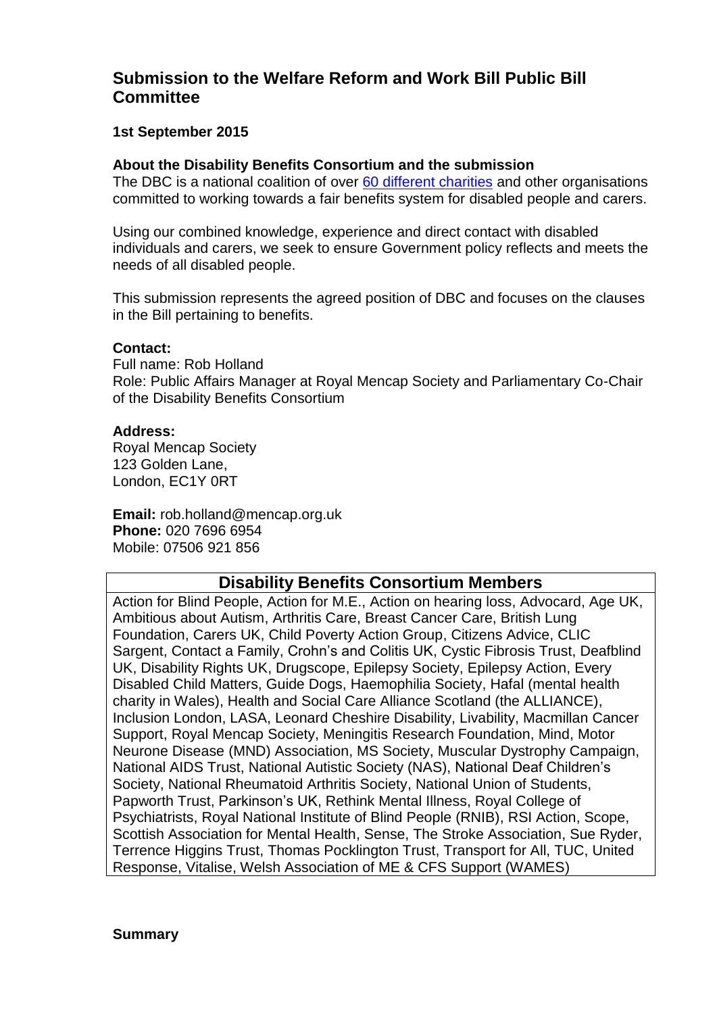# **Submission to the Welfare Reform and Work Bill Public Bill Committee**

# **1st September 2015**

### **About the Disability Benefits Consortium and the submission**

The DBC is a national coalition of over 60 [different charities](https://disabilitybenefitsconsortium.wordpress.com/dbc-members/) and other organisations committed to working towards a fair benefits system for disabled people and carers.

Using our combined knowledge, experience and direct contact with disabled individuals and carers, we seek to ensure Government policy reflects and meets the needs of all disabled people.

This submission represents the agreed position of DBC and focuses on the clauses in the Bill pertaining to benefits.

#### **Contact:**

Full name: Rob Holland Role: Public Affairs Manager at Royal Mencap Society and Parliamentary Co-Chair of the Disability Benefits Consortium

#### **Address:**

Royal Mencap Society 123 Golden Lane, London, EC1Y 0RT

**Email:** rob.holland@mencap.org.uk **Phone:** 020 7696 6954 Mobile: 07506 921 856

# **Disability Benefits Consortium Members**

Action for Blind People, Action for M.E., Action on hearing loss, Advocard, Age UK, Ambitious about Autism, Arthritis Care, Breast Cancer Care, British Lung Foundation, Carers UK, Child Poverty Action Group, Citizens Advice, CLIC Sargent, Contact a Family, Crohn's and Colitis UK, Cystic Fibrosis Trust, Deafblind UK, Disability Rights UK, Drugscope, Epilepsy Society, Epilepsy Action, Every Disabled Child Matters, Guide Dogs, Haemophilia Society, Hafal (mental health charity in Wales), Health and Social Care Alliance Scotland (the ALLIANCE), Inclusion London, LASA, Leonard Cheshire Disability, Livability, Macmillan Cancer Support, Royal Mencap Society, Meningitis Research Foundation, Mind, Motor Neurone Disease (MND) Association, MS Society, Muscular Dystrophy Campaign, National AIDS Trust, National Autistic Society (NAS), National Deaf Children's Society, National Rheumatoid Arthritis Society, National Union of Students, Papworth Trust, Parkinson's UK, Rethink Mental Illness, Royal College of Psychiatrists, Royal National Institute of Blind People (RNIB), RSI Action, Scope, Scottish Association for Mental Health, Sense, The Stroke Association, Sue Ryder, Terrence Higgins Trust, Thomas Pocklington Trust, Transport for All, TUC, United Response, Vitalise, Welsh Association of ME & CFS Support (WAMES)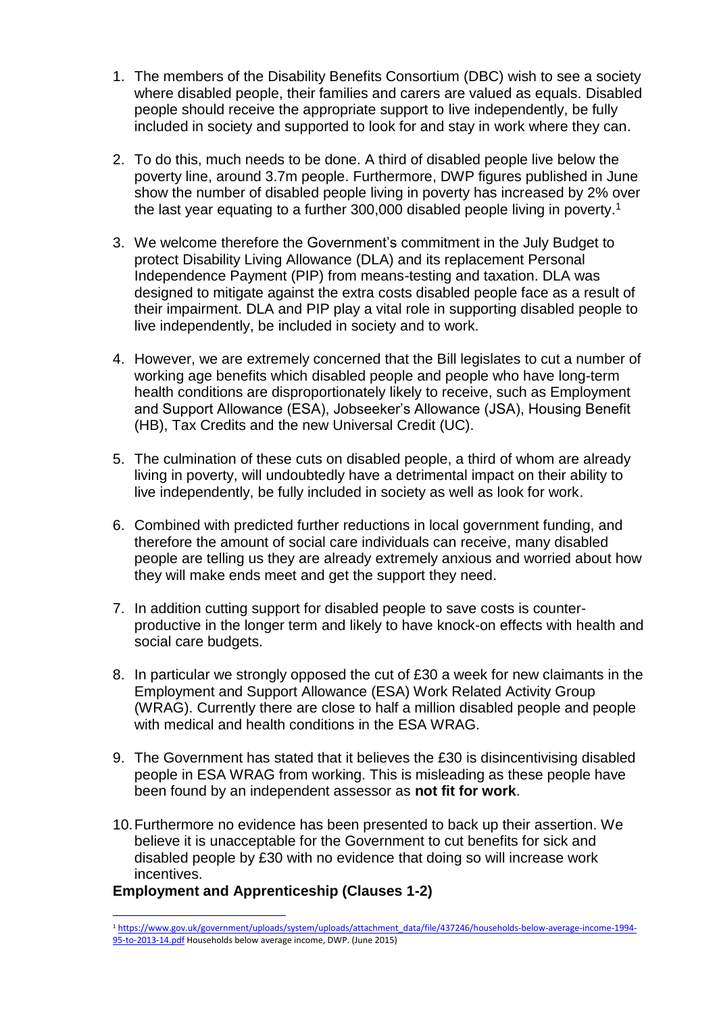- 1. The members of the Disability Benefits Consortium (DBC) wish to see a society where disabled people, their families and carers are valued as equals. Disabled people should receive the appropriate support to live independently, be fully included in society and supported to look for and stay in work where they can.
- 2. To do this, much needs to be done. A third of disabled people live below the poverty line, around 3.7m people. Furthermore, DWP figures published in June show the number of disabled people living in poverty has increased by 2% over the last year equating to a further 300,000 disabled people living in poverty.<sup>1</sup>
- 3. We welcome therefore the Government's commitment in the July Budget to protect Disability Living Allowance (DLA) and its replacement Personal Independence Payment (PIP) from means-testing and taxation. DLA was designed to mitigate against the extra costs disabled people face as a result of their impairment. DLA and PIP play a vital role in supporting disabled people to live independently, be included in society and to work.
- 4. However, we are extremely concerned that the Bill legislates to cut a number of working age benefits which disabled people and people who have long-term health conditions are disproportionately likely to receive, such as Employment and Support Allowance (ESA), Jobseeker's Allowance (JSA), Housing Benefit (HB), Tax Credits and the new Universal Credit (UC).
- 5. The culmination of these cuts on disabled people, a third of whom are already living in poverty, will undoubtedly have a detrimental impact on their ability to live independently, be fully included in society as well as look for work.
- 6. Combined with predicted further reductions in local government funding, and therefore the amount of social care individuals can receive, many disabled people are telling us they are already extremely anxious and worried about how they will make ends meet and get the support they need.
- 7. In addition cutting support for disabled people to save costs is counterproductive in the longer term and likely to have knock-on effects with health and social care budgets.
- 8. In particular we strongly opposed the cut of £30 a week for new claimants in the Employment and Support Allowance (ESA) Work Related Activity Group (WRAG). Currently there are close to half a million disabled people and people with medical and health conditions in the FSA WRAG.
- 9. The Government has stated that it believes the £30 is disincentivising disabled people in ESA WRAG from working. This is misleading as these people have been found by an independent assessor as **not fit for work**.
- 10.Furthermore no evidence has been presented to back up their assertion. We believe it is unacceptable for the Government to cut benefits for sick and disabled people by £30 with no evidence that doing so will increase work incentives.

# **Employment and Apprenticeship (Clauses 1-2)**

l

<sup>1</sup> [https://www.gov.uk/government/uploads/system/uploads/attachment\\_data/file/437246/households-below-average-income-1994-](https://www.gov.uk/government/uploads/system/uploads/attachment_data/file/437246/households-below-average-income-1994-95-to-2013-14.pdf) [95-to-2013-14.pdf](https://www.gov.uk/government/uploads/system/uploads/attachment_data/file/437246/households-below-average-income-1994-95-to-2013-14.pdf) Households below average income, DWP. (June 2015)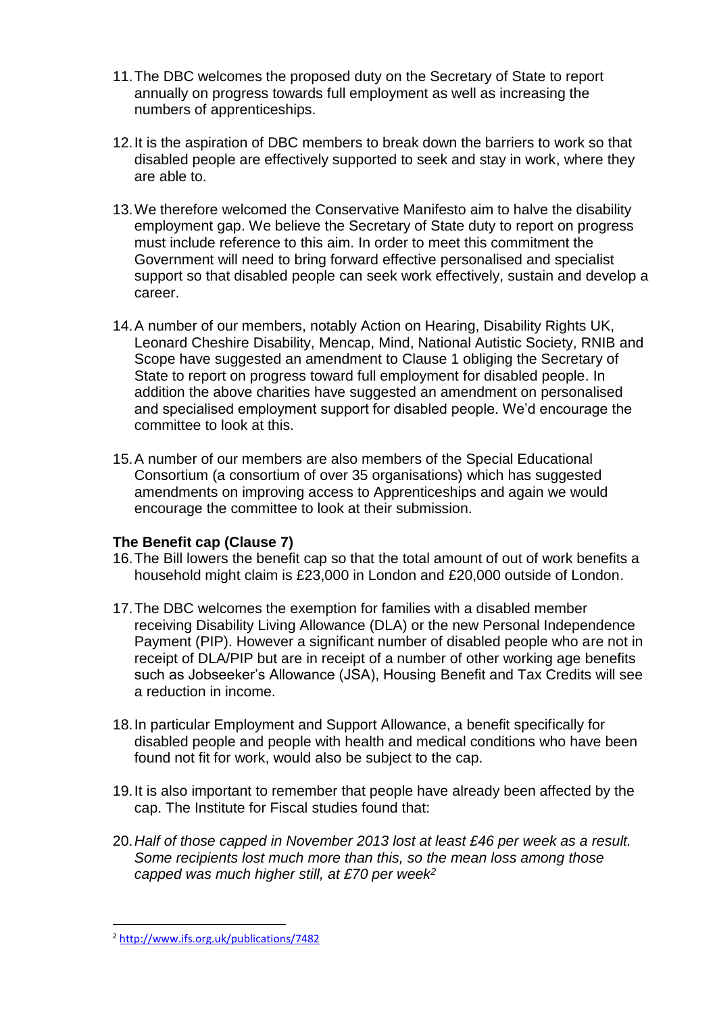- 11.The DBC welcomes the proposed duty on the Secretary of State to report annually on progress towards full employment as well as increasing the numbers of apprenticeships.
- 12.It is the aspiration of DBC members to break down the barriers to work so that disabled people are effectively supported to seek and stay in work, where they are able to.
- 13.We therefore welcomed the Conservative Manifesto aim to halve the disability employment gap. We believe the Secretary of State duty to report on progress must include reference to this aim. In order to meet this commitment the Government will need to bring forward effective personalised and specialist support so that disabled people can seek work effectively, sustain and develop a career.
- 14.A number of our members, notably Action on Hearing, Disability Rights UK, Leonard Cheshire Disability, Mencap, Mind, National Autistic Society, RNIB and Scope have suggested an amendment to Clause 1 obliging the Secretary of State to report on progress toward full employment for disabled people. In addition the above charities have suggested an amendment on personalised and specialised employment support for disabled people. We'd encourage the committee to look at this.
- 15.A number of our members are also members of the Special Educational Consortium (a consortium of over 35 organisations) which has suggested amendments on improving access to Apprenticeships and again we would encourage the committee to look at their submission.

# **The Benefit cap (Clause 7)**

- 16.The Bill lowers the benefit cap so that the total amount of out of work benefits a household might claim is £23,000 in London and £20,000 outside of London.
- 17.The DBC welcomes the exemption for families with a disabled member receiving Disability Living Allowance (DLA) or the new Personal Independence Payment (PIP). However a significant number of disabled people who are not in receipt of DLA/PIP but are in receipt of a number of other working age benefits such as Jobseeker's Allowance (JSA), Housing Benefit and Tax Credits will see a reduction in income.
- 18.In particular Employment and Support Allowance, a benefit specifically for disabled people and people with health and medical conditions who have been found not fit for work, would also be subject to the cap.
- 19.It is also important to remember that people have already been affected by the cap. The Institute for Fiscal studies found that:
- 20.*Half of those capped in November 2013 lost at least £46 per week as a result. Some recipients lost much more than this, so the mean loss among those capped was much higher still, at £70 per week<sup>2</sup>*

l

<sup>2</sup> <http://www.ifs.org.uk/publications/7482>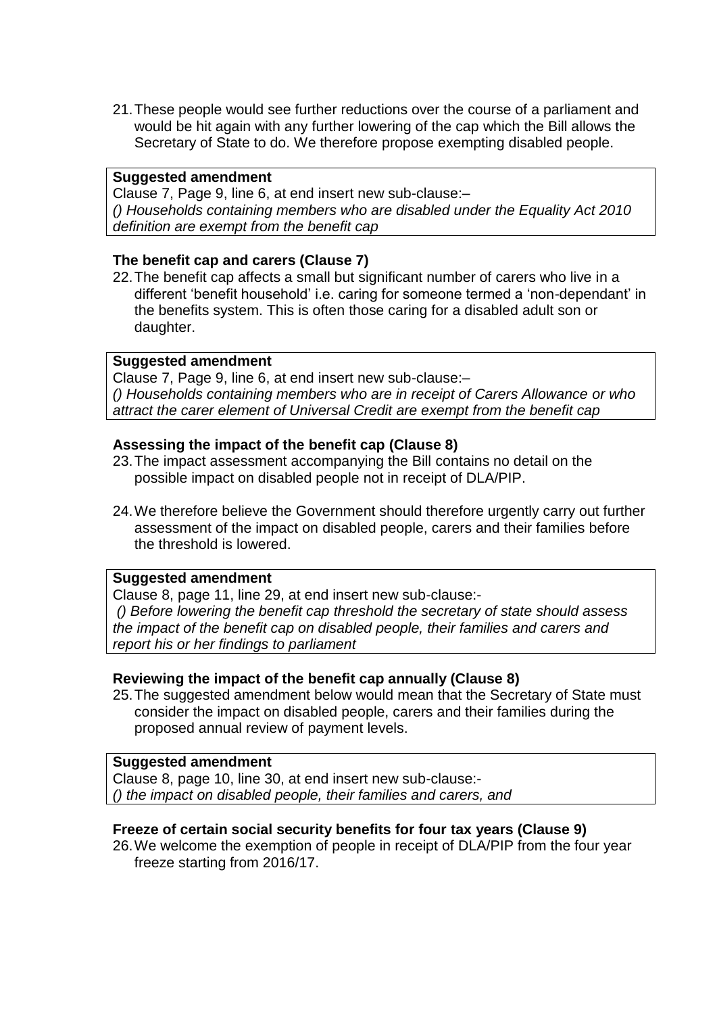21.These people would see further reductions over the course of a parliament and would be hit again with any further lowering of the cap which the Bill allows the Secretary of State to do. We therefore propose exempting disabled people.

#### **Suggested amendment**

Clause 7, Page 9, line 6, at end insert new sub-clause:– *() Households containing members who are disabled under the Equality Act 2010 definition are exempt from the benefit cap*

# **The benefit cap and carers (Clause 7)**

22.The benefit cap affects a small but significant number of carers who live in a different 'benefit household' i.e. caring for someone termed a 'non-dependant' in the benefits system. This is often those caring for a disabled adult son or daughter.

### **Suggested amendment**

Clause 7, Page 9, line 6, at end insert new sub-clause:– *() Households containing members who are in receipt of Carers Allowance or who attract the carer element of Universal Credit are exempt from the benefit cap*

### **Assessing the impact of the benefit cap (Clause 8)**

- 23.The impact assessment accompanying the Bill contains no detail on the possible impact on disabled people not in receipt of DLA/PIP.
- 24.We therefore believe the Government should therefore urgently carry out further assessment of the impact on disabled people, carers and their families before the threshold is lowered.

#### **Suggested amendment**

Clause 8, page 11, line 29, at end insert new sub-clause:- *() Before lowering the benefit cap threshold the secretary of state should assess the impact of the benefit cap on disabled people, their families and carers and report his or her findings to parliament* 

# **Reviewing the impact of the benefit cap annually (Clause 8)**

25.The suggested amendment below would mean that the Secretary of State must consider the impact on disabled people, carers and their families during the proposed annual review of payment levels.

### **Suggested amendment**

Clause 8, page 10, line 30, at end insert new sub-clause:- *() the impact on disabled people, their families and carers, and*

# **Freeze of certain social security benefits for four tax years (Clause 9)**

26.We welcome the exemption of people in receipt of DLA/PIP from the four year freeze starting from 2016/17.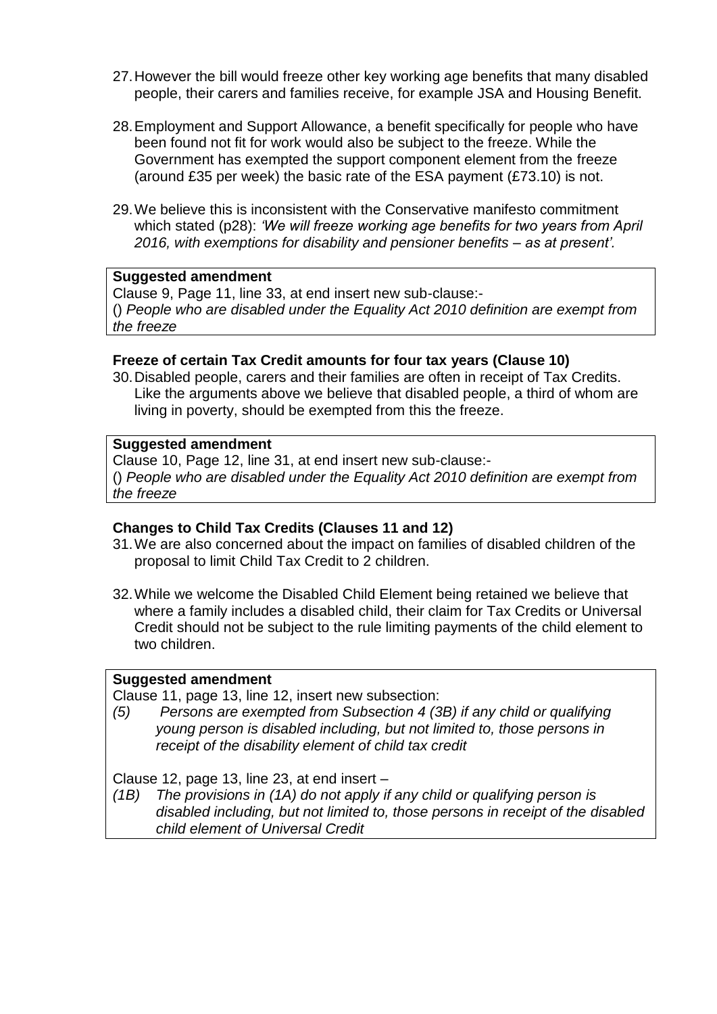- 27.However the bill would freeze other key working age benefits that many disabled people, their carers and families receive, for example JSA and Housing Benefit.
- 28.Employment and Support Allowance, a benefit specifically for people who have been found not fit for work would also be subject to the freeze. While the Government has exempted the support component element from the freeze (around £35 per week) the basic rate of the ESA payment  $(E73.10)$  is not.
- 29.We believe this is inconsistent with the Conservative manifesto commitment which stated (p28): *'We will freeze working age benefits for two years from April 2016, with exemptions for disability and pensioner benefits – as at present'.*

#### **Suggested amendment**

Clause 9, Page 11, line 33, at end insert new sub-clause:- () *People who are disabled under the Equality Act 2010 definition are exempt from the freeze*

### **Freeze of certain Tax Credit amounts for four tax years (Clause 10)**

30.Disabled people, carers and their families are often in receipt of Tax Credits. Like the arguments above we believe that disabled people, a third of whom are living in poverty, should be exempted from this the freeze.

### **Suggested amendment**

Clause 10, Page 12, line 31, at end insert new sub-clause:-

() *People who are disabled under the Equality Act 2010 definition are exempt from the freeze* 

# **Changes to Child Tax Credits (Clauses 11 and 12)**

- 31.We are also concerned about the impact on families of disabled children of the proposal to limit Child Tax Credit to 2 children.
- 32.While we welcome the Disabled Child Element being retained we believe that where a family includes a disabled child, their claim for Tax Credits or Universal Credit should not be subject to the rule limiting payments of the child element to two children.

# **Suggested amendment**

Clause 11, page 13, line 12, insert new subsection:

*(5) Persons are exempted from Subsection 4 (3B) if any child or qualifying young person is disabled including, but not limited to, those persons in receipt of the disability element of child tax credit*

Clause 12, page 13, line 23, at end insert –

*(1B) The provisions in (1A) do not apply if any child or qualifying person is disabled including, but not limited to, those persons in receipt of the disabled child element of Universal Credit*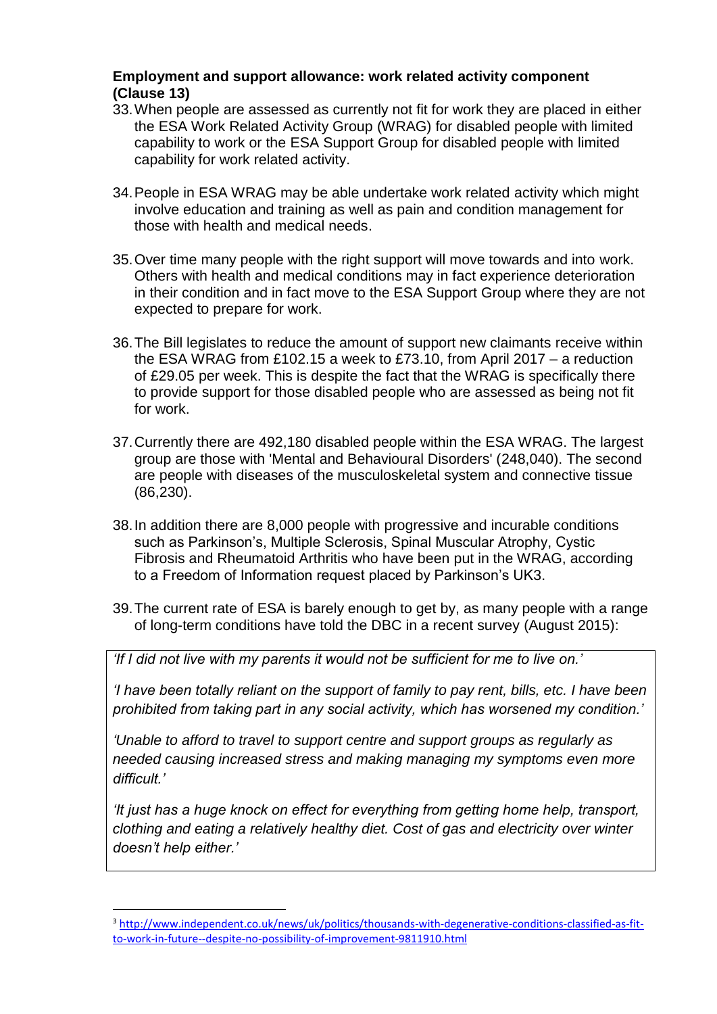# **Employment and support allowance: work related activity component (Clause 13)**

- 33.When people are assessed as currently not fit for work they are placed in either the ESA Work Related Activity Group (WRAG) for disabled people with limited capability to work or the ESA Support Group for disabled people with limited capability for work related activity.
- 34.People in ESA WRAG may be able undertake work related activity which might involve education and training as well as pain and condition management for those with health and medical needs.
- 35.Over time many people with the right support will move towards and into work. Others with health and medical conditions may in fact experience deterioration in their condition and in fact move to the ESA Support Group where they are not expected to prepare for work.
- 36.The Bill legislates to reduce the amount of support new claimants receive within the ESA WRAG from £102.15 a week to £73.10, from April 2017 – a reduction of £29.05 per week. This is despite the fact that the WRAG is specifically there to provide support for those disabled people who are assessed as being not fit for work.
- 37.Currently there are 492,180 disabled people within the ESA WRAG. The largest group are those with 'Mental and Behavioural Disorders' (248,040). The second are people with diseases of the musculoskeletal system and connective tissue (86,230).
- 38.In addition there are 8,000 people with progressive and incurable conditions such as Parkinson's, Multiple Sclerosis, Spinal Muscular Atrophy, Cystic Fibrosis and Rheumatoid Arthritis who have been put in the WRAG, according to a Freedom of Information request placed by Parkinson's UK3.
- 39.The current rate of ESA is barely enough to get by, as many people with a range of long-term conditions have told the DBC in a recent survey (August 2015):

*'If I did not live with my parents it would not be sufficient for me to live on.'*

*'I have been totally reliant on the support of family to pay rent, bills, etc. I have been prohibited from taking part in any social activity, which has worsened my condition.'*

*'Unable to afford to travel to support centre and support groups as regularly as needed causing increased stress and making managing my symptoms even more difficult.'*

*'It just has a huge knock on effect for everything from getting home help, transport, clothing and eating a relatively healthy diet. Cost of gas and electricity over winter doesn't help either.'*

l

<sup>3</sup> [http://www.independent.co.uk/news/uk/politics/thousands-with-degenerative-conditions-classified-as-fit](http://www.independent.co.uk/news/uk/politics/thousands-with-degenerative-conditions-classified-as-fit-to-work-in-future--despite-no-possibility-of-improvement-9811910.html)[to-work-in-future--despite-no-possibility-of-improvement-9811910.html](http://www.independent.co.uk/news/uk/politics/thousands-with-degenerative-conditions-classified-as-fit-to-work-in-future--despite-no-possibility-of-improvement-9811910.html)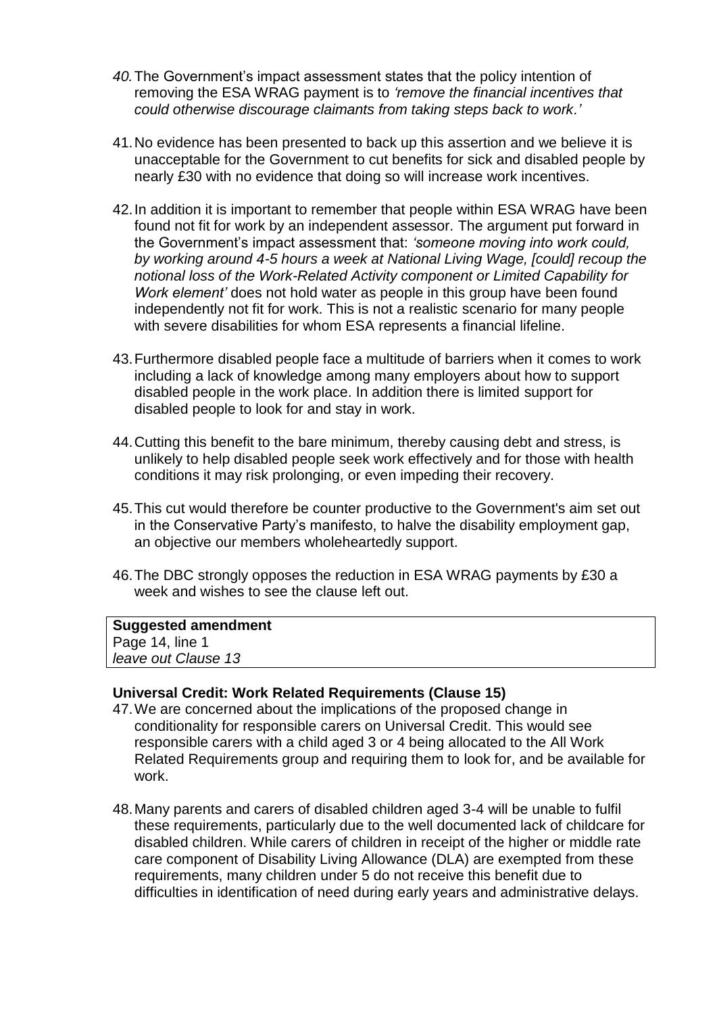- *40.*The Government's impact assessment states that the policy intention of removing the ESA WRAG payment is to *'remove the financial incentives that could otherwise discourage claimants from taking steps back to work.'*
- 41.No evidence has been presented to back up this assertion and we believe it is unacceptable for the Government to cut benefits for sick and disabled people by nearly £30 with no evidence that doing so will increase work incentives.
- 42.In addition it is important to remember that people within ESA WRAG have been found not fit for work by an independent assessor. The argument put forward in the Government's impact assessment that: *'someone moving into work could, by working around 4-5 hours a week at National Living Wage, [could] recoup the notional loss of the Work-Related Activity component or Limited Capability for Work element'* does not hold water as people in this group have been found independently not fit for work. This is not a realistic scenario for many people with severe disabilities for whom ESA represents a financial lifeline.
- 43.Furthermore disabled people face a multitude of barriers when it comes to work including a lack of knowledge among many employers about how to support disabled people in the work place. In addition there is limited support for disabled people to look for and stay in work.
- 44.Cutting this benefit to the bare minimum, thereby causing debt and stress, is unlikely to help disabled people seek work effectively and for those with health conditions it may risk prolonging, or even impeding their recovery.
- 45.This cut would therefore be counter productive to the Government's aim set out in the Conservative Party's manifesto, to halve the disability employment gap, an objective our members wholeheartedly support.
- 46.The DBC strongly opposes the reduction in ESA WRAG payments by £30 a week and wishes to see the clause left out.

#### **Suggested amendment**

Page 14, line 1 *leave out Clause 13*

#### **Universal Credit: Work Related Requirements (Clause 15)**

- 47.We are concerned about the implications of the proposed change in conditionality for responsible carers on Universal Credit. This would see responsible carers with a child aged 3 or 4 being allocated to the All Work Related Requirements group and requiring them to look for, and be available for work.
- 48.Many parents and carers of disabled children aged 3-4 will be unable to fulfil these requirements, particularly due to the well documented lack of childcare for disabled children. While carers of children in receipt of the higher or middle rate care component of Disability Living Allowance (DLA) are exempted from these requirements, many children under 5 do not receive this benefit due to difficulties in identification of need during early years and administrative delays.